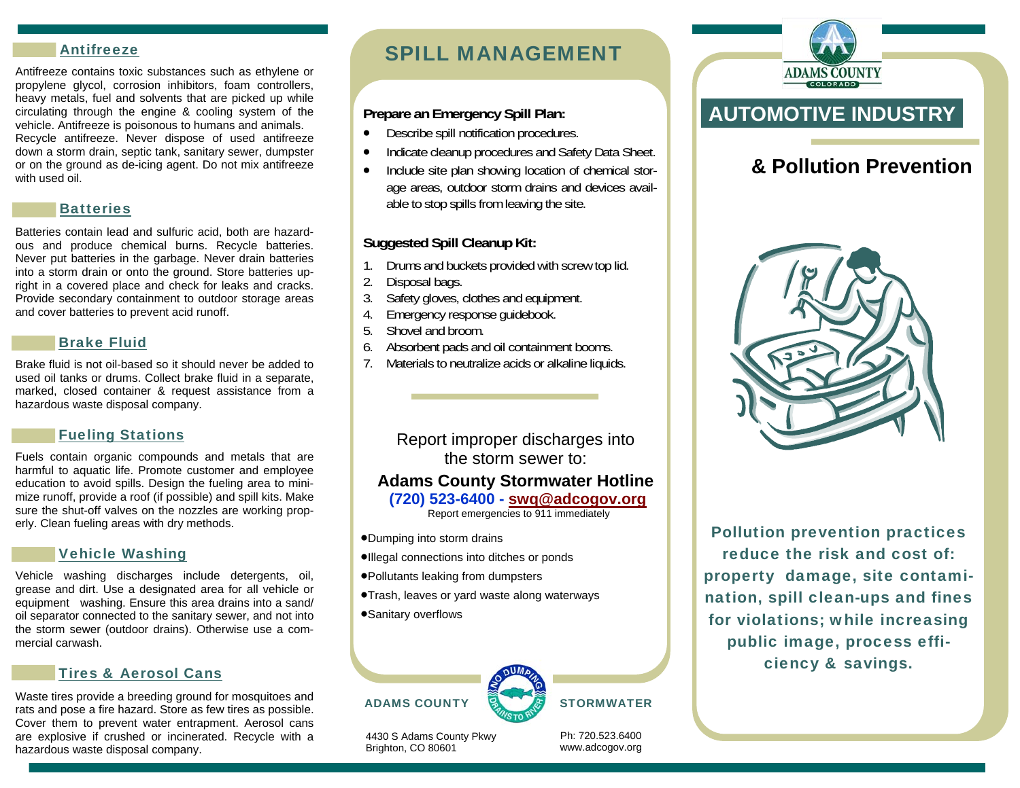#### Antifreeze

Antifreeze contains toxic substances such as ethylene or propylene glycol, corrosion inhibitors, foam controllers, heavy metals, fuel and solvents that are picked up while circulating through the engine & cooling system of the vehicle. Antifreeze is poisonous to humans and animals. Recycle antifreeze. Never dispose of used antifreeze down a storm drain, septic tank, sanitary sewer, dumpster or on the ground as de-icing agent. Do not mix antifreeze with used oil.

#### **Batteries**

Batteries contain lead and sulfuric acid, both are hazardous and produce chemical burns. Recycle batteries. Never put batteries in the garbage. Never drain batteries into a storm drain or onto the ground. Store batteries upright in a covered place and check for leaks and cracks. Provide secondary containment to outdoor storage areas and cover batteries to prevent acid runoff.

#### Brake Fluid

Brake fluid is not oil-based so it should never be added to used oil tanks or drums. Collect brake fluid in a separate, marked, closed container & request assistance from a hazardous waste disposal company.

#### Fueling Stations

Fuels contain organic compounds and metals that are harmful to aquatic life. Promote customer and employee education to avoid spills. Design the fueling area to minimize runoff, provide a roof (if possible) and spill kits. Make sure the shut-off valves on the nozzles are working properly. Clean fueling areas with dry methods.

#### Vehicle Washing

Vehicle washing discharges include detergents, oil, grease and dirt. Use a designated area for all vehicle or equipment washing. Ensure this area drains into a sand/ oil separator connected to the sanitary sewer, and not into the storm sewer (outdoor drains). Otherwise use a commercial carwash.

#### Tires & Aerosol Cans

Waste tires provide a breeding ground for mosquitoes and rats and pose a fire hazard. Store as few tires as possible. Cover them to prevent water entrapment. Aerosol cans are explosive if crushed or incinerated. Recycle with a hazardous waste disposal company.

## SPILL MANAGEMENT

#### **Prepare an Emergency Spill Plan:**

- $\bullet$ Describe spill notification procedures.
- $\bullet$ Indicate cleanup procedures and Safety Data Sheet.
- $\bullet$  Include site plan showing location of chemical storage areas, outdoor storm drains and devices available to stop spills from leaving the site.

### **Suggested Spill Cleanup Kit:**

- 1. Drums and buckets provided with screw top lid.
- 2. Disposal bags.
- 3. Safety gloves, clothes and equipment.
- 4. Emergency response guidebook.
- 5. Shovel and broom.
- 6. Absorbent pads and oil containment booms.
- 7. Materials to neutralize acids or alkaline liquids.

Report improper discharges into the storm sewer to:

## **Adams County Stormwater Hotline**

#### **(720) 523-6400 - swq@adcogov.org**

Report emergencies to 911 immediately

- Dumping into storm drains
- Illegal connections into ditches or ponds
- Pollutants leaking from dumpsters
- **Trash, leaves or yard waste along waterways**
- Sanitary overflows





4430 S Adams County Pkwy Brighton, CO 80601

Ph: 720.523.6400 www.adcogov.org



**ADAMS COUNTY** 

# **& Pollution Prevention**



Pollution prevention practices reduce the risk and cost of: property damage, site contamination, spill clean-ups and fines for violations; while increasing public image, process efficiency & savings.